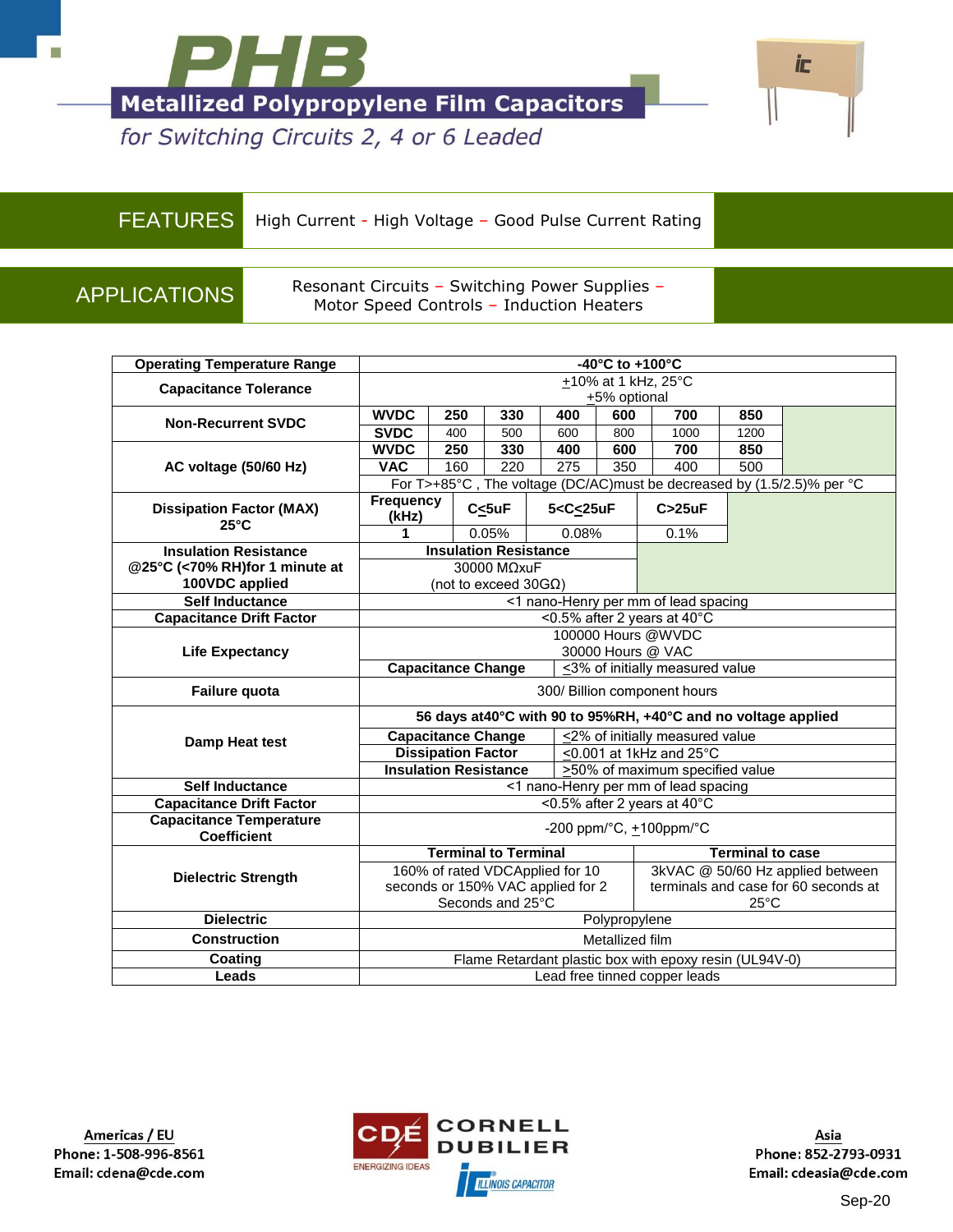



for Switching Circuits 2, 4 or 6 Leaded

FEATURES High Current - High Voltage – Good Pulse Current Rating

APPLICATIONS Resonant Circuits – Switching Power Supplies – Motor Speed Controls – Induction Heaters

| <b>Operating Temperature Range</b>                   |                                                                                                                         |                              |                      | -40°C to +100°C                                                            |                                 |                                                        |                         |                                      |  |  |  |  |
|------------------------------------------------------|-------------------------------------------------------------------------------------------------------------------------|------------------------------|----------------------|----------------------------------------------------------------------------|---------------------------------|--------------------------------------------------------|-------------------------|--------------------------------------|--|--|--|--|
| <b>Capacitance Tolerance</b>                         |                                                                                                                         | +10% at 1 kHz, 25°C          |                      |                                                                            |                                 |                                                        |                         |                                      |  |  |  |  |
|                                                      |                                                                                                                         |                              |                      |                                                                            | +5% optional                    |                                                        |                         |                                      |  |  |  |  |
| <b>Non-Recurrent SVDC</b>                            | <b>WVDC</b>                                                                                                             | 250                          | 330                  | 400                                                                        | 600                             | 700                                                    | 850                     |                                      |  |  |  |  |
|                                                      | <b>SVDC</b>                                                                                                             | 400                          | 500                  | 600                                                                        | 800                             | 1000                                                   | 1200                    |                                      |  |  |  |  |
|                                                      | <b>WVDC</b>                                                                                                             | 250                          | 330                  | 400                                                                        | 600                             | 700                                                    | 850                     |                                      |  |  |  |  |
| AC voltage (50/60 Hz)                                | <b>VAC</b><br>220<br>160<br>275<br>350<br>400<br>For T>+85°C, The voltage (DC/AC)must be decreased by (1.5/2.5)% per °C |                              |                      |                                                                            |                                 |                                                        | 500                     |                                      |  |  |  |  |
|                                                      |                                                                                                                         |                              |                      |                                                                            |                                 |                                                        |                         |                                      |  |  |  |  |
| <b>Dissipation Factor (MAX)</b><br>$25^{\circ}$ C    | <b>Frequency</b><br>(kHz)                                                                                               |                              | $C_{\leq}$ 5uF       | 5 <c<25uf< th=""><th></th><th>C &gt; 25uF</th><th></th><th></th></c<25uf<> |                                 | C > 25uF                                               |                         |                                      |  |  |  |  |
|                                                      | 1                                                                                                                       |                              | 0.05%                | 0.08%                                                                      |                                 | 0.1%                                                   |                         |                                      |  |  |  |  |
| <b>Insulation Resistance</b>                         |                                                                                                                         | <b>Insulation Resistance</b> |                      |                                                                            |                                 |                                                        |                         |                                      |  |  |  |  |
| @25°C (<70% RH)for 1 minute at                       |                                                                                                                         |                              | 30000 MΩxuF          |                                                                            |                                 |                                                        |                         |                                      |  |  |  |  |
| 100VDC applied                                       |                                                                                                                         |                              | (not to exceed 30GΩ) |                                                                            |                                 |                                                        |                         |                                      |  |  |  |  |
| <b>Self Inductance</b>                               |                                                                                                                         |                              |                      |                                                                            |                                 | <1 nano-Henry per mm of lead spacing                   |                         |                                      |  |  |  |  |
| <b>Capacitance Drift Factor</b>                      |                                                                                                                         |                              |                      |                                                                            |                                 | <0.5% after 2 years at 40°C                            |                         |                                      |  |  |  |  |
|                                                      | 100000 Hours @WVDC                                                                                                      |                              |                      |                                                                            |                                 |                                                        |                         |                                      |  |  |  |  |
| <b>Life Expectancy</b>                               | 30000 Hours @ VAC<br><b>Capacitance Change</b><br><3% of initially measured value                                       |                              |                      |                                                                            |                                 |                                                        |                         |                                      |  |  |  |  |
|                                                      |                                                                                                                         |                              |                      |                                                                            |                                 |                                                        |                         |                                      |  |  |  |  |
| Failure quota                                        |                                                                                                                         |                              |                      |                                                                            |                                 | 300/ Billion component hours                           |                         |                                      |  |  |  |  |
|                                                      | 56 days at40°C with 90 to 95%RH, +40°C and no voltage applied                                                           |                              |                      |                                                                            |                                 |                                                        |                         |                                      |  |  |  |  |
| Damp Heat test                                       |                                                                                                                         | <b>Capacitance Change</b>    |                      |                                                                            | <2% of initially measured value |                                                        |                         |                                      |  |  |  |  |
|                                                      |                                                                                                                         | <b>Dissipation Factor</b>    |                      |                                                                            |                                 | <0.001 at 1kHz and 25°C                                |                         |                                      |  |  |  |  |
|                                                      |                                                                                                                         | <b>Insulation Resistance</b> |                      |                                                                            |                                 | >50% of maximum specified value                        |                         |                                      |  |  |  |  |
| <b>Self Inductance</b>                               |                                                                                                                         |                              |                      |                                                                            |                                 | <1 nano-Henry per mm of lead spacing                   |                         |                                      |  |  |  |  |
| <b>Capacitance Drift Factor</b>                      |                                                                                                                         |                              |                      |                                                                            |                                 | <0.5% after 2 years at 40°C                            |                         |                                      |  |  |  |  |
| <b>Capacitance Temperature</b><br><b>Coefficient</b> |                                                                                                                         |                              |                      |                                                                            |                                 | -200 ppm/ $^{\circ}$ C, $\pm$ 100ppm/ $^{\circ}$ C     |                         |                                      |  |  |  |  |
|                                                      |                                                                                                                         | <b>Terminal to Terminal</b>  |                      |                                                                            |                                 |                                                        | <b>Terminal to case</b> |                                      |  |  |  |  |
| <b>Dielectric Strength</b>                           |                                                                                                                         |                              |                      | 160% of rated VDCApplied for 10                                            |                                 |                                                        |                         | 3kVAC @ 50/60 Hz applied between     |  |  |  |  |
|                                                      |                                                                                                                         |                              |                      | seconds or 150% VAC applied for 2                                          |                                 |                                                        |                         | terminals and case for 60 seconds at |  |  |  |  |
|                                                      |                                                                                                                         |                              | Seconds and 25°C     |                                                                            |                                 |                                                        | $25^{\circ}$ C          |                                      |  |  |  |  |
| <b>Dielectric</b>                                    |                                                                                                                         |                              |                      |                                                                            | Polypropylene                   |                                                        |                         |                                      |  |  |  |  |
| <b>Construction</b>                                  |                                                                                                                         |                              |                      |                                                                            | Metallized film                 |                                                        |                         |                                      |  |  |  |  |
| Coating                                              |                                                                                                                         |                              |                      |                                                                            |                                 | Flame Retardant plastic box with epoxy resin (UL94V-0) |                         |                                      |  |  |  |  |
| Leads                                                |                                                                                                                         |                              |                      |                                                                            |                                 | Lead free tinned copper leads                          |                         |                                      |  |  |  |  |

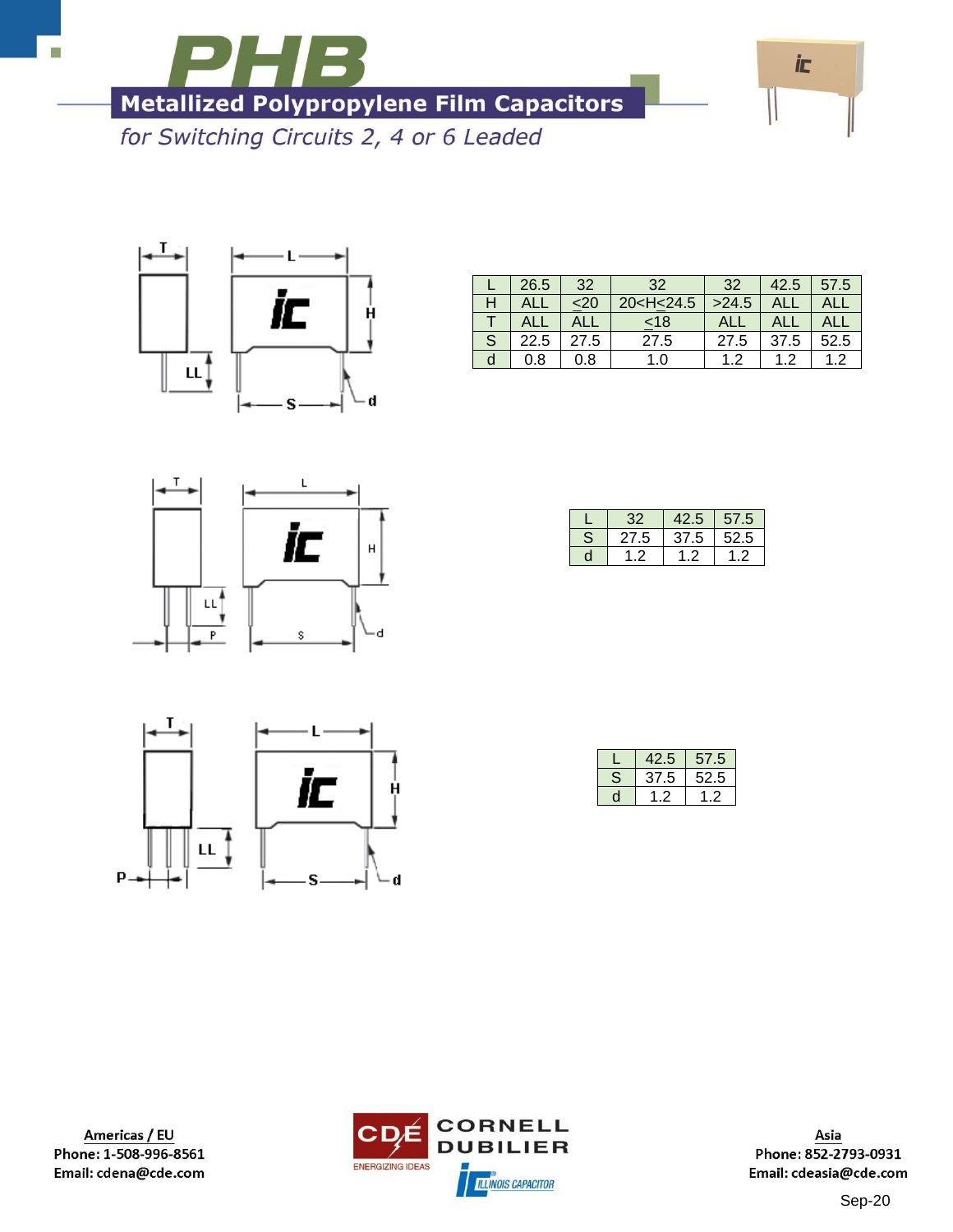

for Switching Circuits 2, 4 or 6 Leaded



|   | 26.5 | 32   | 32                                                              | 32    | 42.5 | 57.5 |
|---|------|------|-----------------------------------------------------------------|-------|------|------|
|   |      |      | 20 <h<24.5< th=""><th>&gt;24.5</th><th></th><th></th></h<24.5<> | >24.5 |      |      |
|   |      |      | $<$ 18                                                          |       |      |      |
| S | 22.5 | 27.5 | 27.5                                                            | 27.5  | 37.5 | 52.5 |
|   | 0.8  | 0.8  | 1.0                                                             | 1.2   | ィっ   | 1.2  |



|   | 32   | 42.5 | 57.5 |
|---|------|------|------|
| S | 27.5 | 37.5 | 52.5 |
| n |      |      | . ., |



| .2.5 | 57.5 |
|------|------|
| 37.5 | 52.5 |
|      |      |

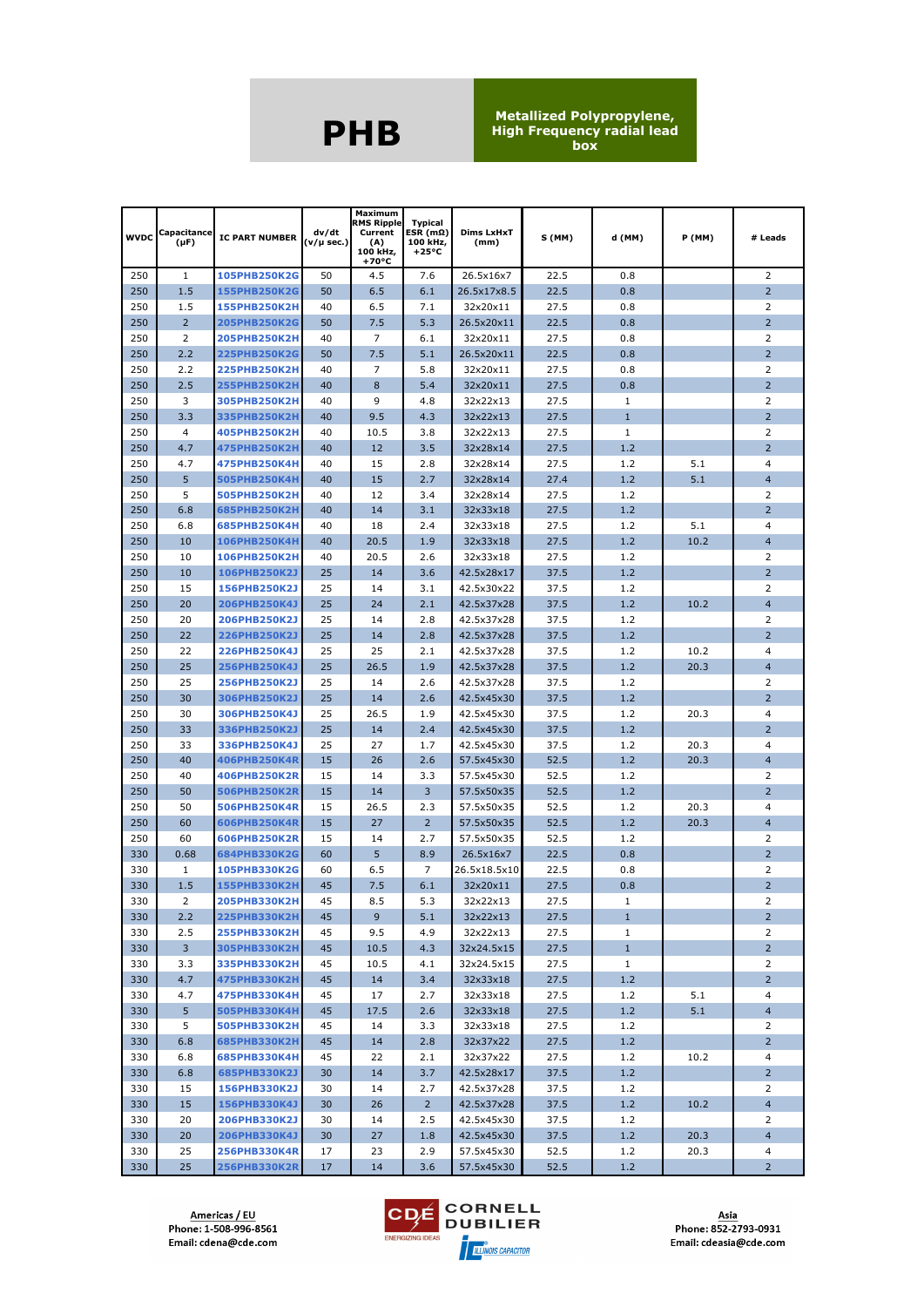| <b>WVDC</b> | Capacitance<br>(µF) | <b>IC PART NUMBER</b>        | dv/dt<br>(v/µ sec.) | Maximum<br><b>RMS Ripple</b><br>Current<br>(A)<br>100 kHz,<br>+70°C | <b>Typical</b><br>$ESR(m\Omega)$<br>100 kHz,<br>$+25^{\circ}C$ | <b>Dims LxHxT</b><br>(mm) | S (MM)       | d (MM)       | <b>P</b> (MM) | # Leads             |
|-------------|---------------------|------------------------------|---------------------|---------------------------------------------------------------------|----------------------------------------------------------------|---------------------------|--------------|--------------|---------------|---------------------|
| 250         | $\mathbf{1}$        | 105PHB250K2G                 | 50                  | 4.5                                                                 | 7.6                                                            | 26.5x16x7                 | 22.5         | 0.8          |               | 2                   |
| 250         | 1.5                 | 155PHB250K2G                 | 50                  | 6.5                                                                 | 6.1                                                            | 26.5x17x8.5               | 22.5         | 0.8          |               | $\overline{2}$      |
| 250         | 1.5                 | <b>155PHB250K2H</b>          | 40                  | 6.5                                                                 | 7.1                                                            | 32x20x11                  | 27.5         | 0.8          |               | 2                   |
| 250         | $\overline{2}$      | 205PHB250K2G                 | 50                  | 7.5                                                                 | 5.3                                                            | 26.5x20x11                | 22.5         | 0.8          |               | $\overline{2}$      |
| 250         | $\overline{2}$      | <b>205PHB250K2H</b>          | 40                  | 7                                                                   | 6.1                                                            | 32x20x11                  | 27.5         | 0.8          |               | $\overline{2}$      |
| 250         | 2.2                 | <b>225PHB250K2G</b>          | 50                  | 7.5                                                                 | 5.1                                                            | 26.5x20x11                | 22.5         | 0.8          |               | $\overline{2}$      |
| 250         | 2.2                 | <b>225PHB250K2H</b>          | 40                  | 7                                                                   | 5.8                                                            | 32x20x11                  | 27.5         | 0.8          |               | 2                   |
| 250         | 2.5                 | <b>255PHB250K2H</b>          | 40                  | 8                                                                   | 5.4                                                            | 32x20x11                  | 27.5         | 0.8          |               | $\overline{2}$      |
| 250         | 3                   | 305PHB250K2H                 | 40                  | 9                                                                   | 4.8                                                            | 32x22x13                  | 27.5         | 1            |               | 2                   |
| 250         | 3.3                 | 335PHB250K2H                 | 40                  | 9.5                                                                 | 4.3                                                            | 32x22x13                  | 27.5         | $\mathbf{1}$ |               | $\overline{2}$      |
| 250         | 4                   | 405PHB250K2H                 | 40                  | 10.5                                                                | 3.8                                                            | 32x22x13                  | 27.5         | 1            |               | 2                   |
| 250         | 4.7                 | <b>475PHB250K2H</b>          | 40                  | 12                                                                  | 3.5                                                            | 32x28x14                  | 27.5         | 1.2          |               | $\overline{2}$      |
| 250         | 4.7                 | 475PHB250K4H                 | 40                  | 15                                                                  | 2.8                                                            | 32x28x14                  | 27.5         | 1.2          | 5.1           | $\overline{4}$      |
| 250         | 5                   | 505PHB250K4H                 | 40                  | 15                                                                  | 2.7                                                            | 32x28x14                  | 27.4         | 1.2          | 5.1           | $\overline{4}$      |
| 250         | 5                   | 505PHB250K2H                 | 40                  | 12                                                                  | 3.4                                                            | 32x28x14                  | 27.5         | 1.2          |               | 2                   |
| 250         | 6.8                 | 685PHB250K2H                 | 40                  | 14                                                                  | 3.1                                                            | 32x33x18                  | 27.5         | 1.2          |               | $\overline{2}$      |
| 250         | 6.8                 | 685PHB250K4H                 | 40                  | 18                                                                  | 2.4                                                            | 32x33x18                  | 27.5         | 1.2          | 5.1           | 4                   |
| 250         | 10                  | <b>106PHB250K4H</b>          | 40                  | 20.5                                                                | 1.9                                                            | 32x33x18                  | 27.5         | 1.2          | 10.2          | $\overline{4}$      |
| 250         | 10                  | <b>106PHB250K2H</b>          | 40                  | 20.5                                                                | 2.6                                                            | 32x33x18                  | 27.5         | 1.2          |               | 2                   |
| 250         | 10                  | 106PHB250K2J                 | 25                  | 14                                                                  | 3.6                                                            | 42.5x28x17                | 37.5         | 1.2          |               | $\overline{2}$      |
| 250         | 15                  | 156PHB250K2J                 | 25                  | 14                                                                  | 3.1                                                            | 42.5x30x22                | 37.5         | 1.2          |               | 2                   |
| 250         | 20                  | 206PHB250K4J                 | 25                  | 24                                                                  | 2.1                                                            | 42.5x37x28                | 37.5         | 1.2          | 10.2          | $\overline{4}$      |
| 250         | 20                  | 206PHB250K2J                 | 25                  | 14                                                                  | 2.8                                                            | 42.5x37x28                | 37.5         | 1.2          |               | 2                   |
| 250         | 22                  | <b>226PHB250K2J</b>          | 25                  | 14                                                                  | 2.8                                                            | 42.5x37x28                | 37.5         | 1.2          |               | $\overline{2}$      |
| 250         | 22                  | 226PHB250K4J                 | 25                  | 25                                                                  | 2.1                                                            | 42.5x37x28                | 37.5         | 1.2          | 10.2          | 4                   |
| 250         | 25                  | 256PHB250K4J                 | 25                  | 26.5                                                                | 1.9                                                            | 42.5x37x28                | 37.5         | 1.2          | 20.3          | $\overline{4}$      |
| 250         | 25                  | 256PHB250K2J                 | 25                  | 14                                                                  | 2.6                                                            | 42.5x37x28                | 37.5         | 1.2          |               | 2                   |
| 250         | 30                  | 306PHB250K2J                 | 25                  | 14                                                                  | 2.6                                                            | 42.5x45x30                | 37.5         | 1.2          |               | 2                   |
| 250<br>250  | 30<br>33            | 306PHB250K4J<br>336PHB250K2J | 25<br>25            | 26.5<br>14                                                          | 1.9<br>2.4                                                     | 42.5x45x30<br>42.5x45x30  | 37.5<br>37.5 | 1.2<br>1.2   | 20.3          | 4<br>$\overline{2}$ |
| 250         | 33                  | 336PHB250K4J                 | 25                  | 27                                                                  | 1.7                                                            | 42.5x45x30                | 37.5         | 1.2          | 20.3          | 4                   |
| 250         | 40                  | 406PHB250K4R                 | 15                  | 26                                                                  | 2.6                                                            | 57.5x45x30                | 52.5         | 1.2          | 20.3          | $\overline{4}$      |
| 250         | 40                  | 406PHB250K2R                 | 15                  | 14                                                                  | 3.3                                                            | 57.5x45x30                | 52.5         | 1.2          |               | 2                   |
| 250         | 50                  | 506PHB250K2R                 | 15                  | 14                                                                  | 3                                                              | 57.5x50x35                | 52.5         | 1.2          |               | $\overline{2}$      |
| 250         | 50                  | 506PHB250K4R                 | 15                  | 26.5                                                                | 2.3                                                            | 57.5x50x35                | 52.5         | 1.2          | 20.3          | 4                   |
| 250         | 60                  | 606PHB250K4R                 | 15                  | 27                                                                  | 2                                                              | 57.5x50x35                | 52.5         | 1.2          | 20.3          | $\overline{4}$      |
| 250         | 60                  | 606PHB250K2R                 | 15                  | 14                                                                  | 2.7                                                            | 57.5x50x35                | 52.5         | 1.2          |               | 2                   |
| 330         | 0.68                | 684PHB330K2G                 | 60                  | 5                                                                   | 8.9                                                            | 26.5x16x7                 | 22.5         | 0.8          |               | $\overline{2}$      |
| 330         | 1                   | 105PHB330K2G                 | 60                  | 6.5                                                                 | 7                                                              | 26.5x18.5x10              | 22.5         | 0.8          |               | $\overline{2}$      |
| 330         | 1.5                 | 155PHB330K2H                 | 45                  | 7.5                                                                 | 6.1                                                            | 32x20x11                  | 27.5         | 0.8          |               | $\overline{2}$      |
| 330         | 2                   | <b>205PHB330K2H</b>          | 45                  | 8.5                                                                 | 5.3                                                            | 32x22x13                  | 27.5         | $\mathbf{1}$ |               | 2                   |
| 330         | 2.2                 | 225PHB330K2H                 | 45                  | 9                                                                   | 5.1                                                            | 32x22x13                  | 27.5         | $\mathbf{1}$ |               | $2^{\circ}$         |
| 330         | 2.5                 | <b>255PHB330K2H</b>          | 45                  | 9.5                                                                 | 4.9                                                            | 32x22x13                  | 27.5         | $\mathbf{1}$ |               | 2                   |
| 330         | $\overline{3}$      | 305PHB330K2H                 | 45                  | 10.5                                                                | 4.3                                                            | 32x24.5x15                | 27.5         | $\mathbf{1}$ |               | $2^{\circ}$         |
| 330         | 3.3                 | 335PHB330K2H                 | 45                  | 10.5                                                                | 4.1                                                            | 32x24.5x15                | 27.5         | $\mathbf{1}$ |               | 2                   |
| 330         | 4.7                 | 475PHB330K2H                 | 45                  | 14                                                                  | 3.4                                                            | 32x33x18                  | 27.5         | 1.2          |               | $2^{\circ}$         |
| 330         | 4.7                 | 475PHB330K4H                 | 45                  | 17                                                                  | 2.7                                                            | 32x33x18                  | 27.5         | 1.2          | 5.1           | $\overline{4}$      |
| 330         | 5 <sup>1</sup>      | 505PHB330K4H                 | 45                  | 17.5                                                                | 2.6                                                            | 32x33x18                  | 27.5         | 1.2          | 5.1           | $\overline{4}$      |
| 330         | 5                   | 505PHB330K2H                 | 45                  | 14                                                                  | 3.3                                                            | 32x33x18                  | 27.5         | 1.2          |               | $\overline{2}$      |
| 330         | 6.8                 | 685PHB330K2H                 | 45                  | 14                                                                  | 2.8                                                            | 32x37x22                  | 27.5         | 1.2          |               | $2^{\circ}$         |
| 330         | 6.8                 | 685PHB330K4H                 | 45                  | 22                                                                  | 2.1                                                            | 32x37x22                  | 27.5         | 1.2          | 10.2          | 4                   |
| 330         | 6.8                 | 685PHB330K2J                 | 30                  | 14                                                                  | 3.7                                                            | 42.5x28x17                | 37.5         | 1.2          |               | $2^{\circ}$         |
| 330         | 15                  | 156PHB330K2J                 | 30                  | 14                                                                  | 2.7                                                            | 42.5x37x28                | 37.5         | 1.2          |               | 2                   |
| 330         | 15                  | 156PHB330K4J                 | 30                  | 26                                                                  | $2^{\circ}$                                                    | 42.5x37x28                | 37.5         | 1.2          | 10.2          | $\overline{4}$      |
| 330         | 20                  | 206PHB330K2J                 | 30                  | 14                                                                  | 2.5                                                            | 42.5x45x30                | 37.5         | 1.2          |               | 2                   |
| 330         | 20                  | 206PHB330K4J                 | 30                  | 27                                                                  | 1.8                                                            | 42.5x45x30                | 37.5         | 1.2          | 20.3          | $\overline{4}$      |
| 330         | 25                  | 256PHB330K4R                 | 17                  | 23                                                                  | 2.9                                                            | 57.5x45x30                | 52.5         | 1.2          | 20.3          | 4                   |
| 330         | 25                  | <b>256PHB330K2R</b>          | 17                  | 14                                                                  | 3.6                                                            | 57.5x45x30                | 52.5         | 1.2          |               | $\overline{2}$      |

Americas / EU<br>Phone: 1-508-996-8561 Email: cdena@cde.com

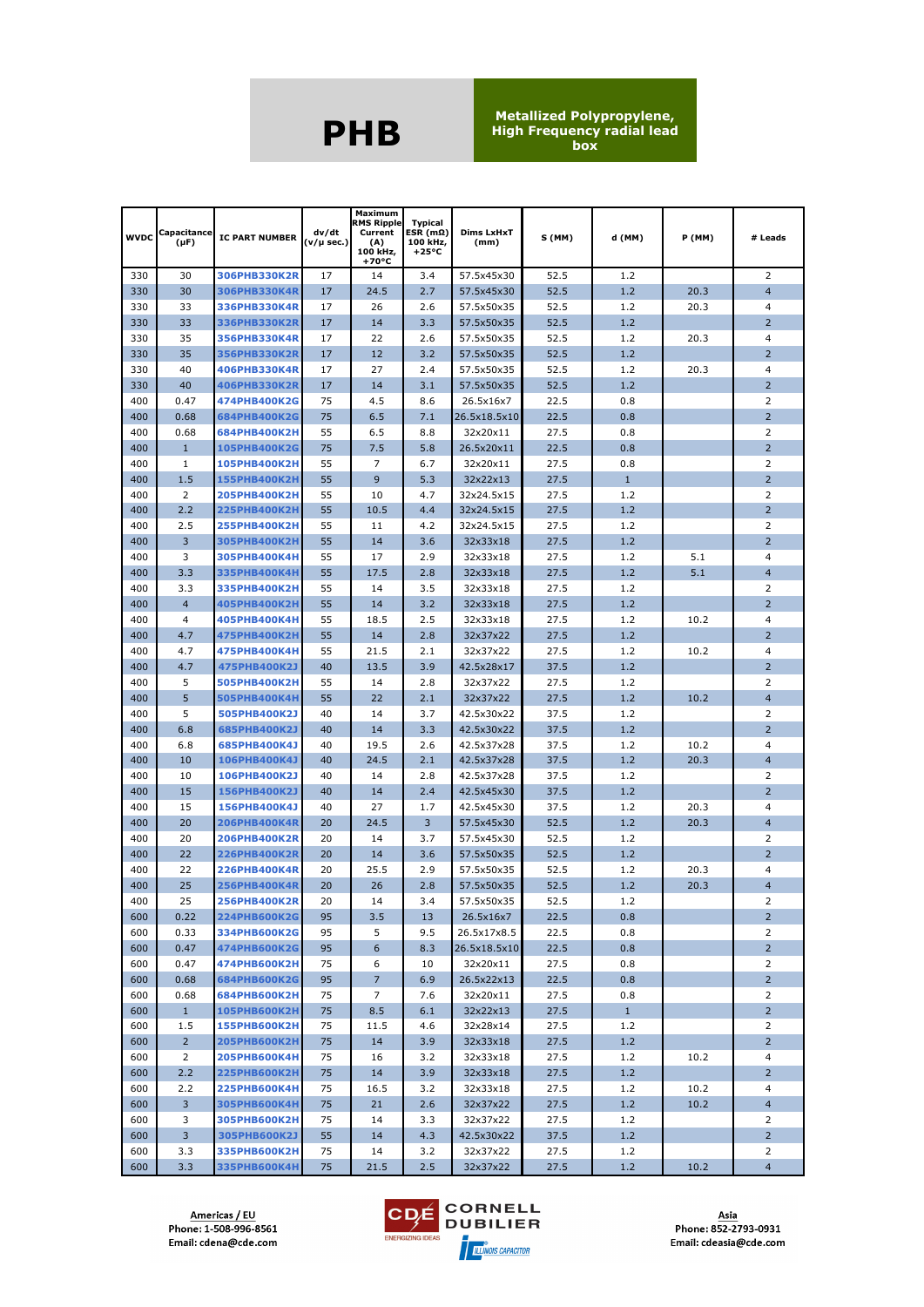| <b>WVDC</b> | Capacitance<br>$(\mu F)$ | <b>IC PART NUMBER</b>        | dv/dt<br>(v/µ sec.) | Maximum<br><b>RMS Ripple</b><br>Current<br>(A)<br>100 kHz,<br>+70°C | <b>Typical</b><br>ESR $(m\Omega)$<br>100 kHz,<br>$+25^{\circ}C$ | Dims LxHxT<br>(mm)   | S (MM)       | d (MM)       | P (MM) | # Leads             |
|-------------|--------------------------|------------------------------|---------------------|---------------------------------------------------------------------|-----------------------------------------------------------------|----------------------|--------------|--------------|--------|---------------------|
| 330         | 30                       | 306PHB330K2R                 | 17                  | 14                                                                  | 3.4                                                             | 57.5x45x30           | 52.5         | 1.2          |        | 2                   |
| 330         | 30                       | 306PHB330K4R                 | 17                  | 24.5                                                                | 2.7                                                             | 57.5x45x30           | 52.5         | 1.2          | 20.3   | $\overline{4}$      |
| 330         | 33                       | 336PHB330K4R                 | 17                  | 26                                                                  | 2.6                                                             | 57.5x50x35           | 52.5         | 1.2          | 20.3   | $\overline{4}$      |
| 330         | 33                       | 336PHB330K2R                 | 17                  | 14                                                                  | 3.3                                                             | 57.5x50x35           | 52.5         | 1.2          |        | $\overline{2}$      |
| 330         | 35                       | 356PHB330K4R                 | 17                  | 22                                                                  | 2.6                                                             | 57.5x50x35           | 52.5         | 1.2          | 20.3   | 4                   |
| 330         | 35                       | 356PHB330K2R                 | 17                  | 12                                                                  | 3.2                                                             | 57.5x50x35           | 52.5         | 1.2          |        | 2                   |
| 330         | 40                       | 406PHB330K4R                 | 17                  | 27                                                                  | 2.4                                                             | 57.5x50x35           | 52.5         | 1.2          | 20.3   | $\overline{4}$      |
| 330         | 40                       | 406PHB330K2R                 | 17                  | 14                                                                  | 3.1                                                             | 57.5x50x35           | 52.5         | 1.2          |        | $\overline{2}$      |
| 400         | 0.47                     | 474PHB400K2G                 | 75                  | 4.5                                                                 | 8.6                                                             | 26.5x16x7            | 22.5         | 0.8          |        | 2                   |
| 400         | 0.68                     | 684PHB400K2G                 | 75                  | 6.5                                                                 | 7.1                                                             | 26.5x18.5x10         | 22.5         | 0.8          |        | $\overline{2}$      |
| 400         | 0.68                     | 684PHB400K2H                 | 55                  | 6.5                                                                 | 8.8                                                             | 32x20x11             | 27.5         | 0.8          |        | 2                   |
| 400         | $\mathbf{1}$             | 105PHB400K2G                 | 75                  | 7.5                                                                 | 5.8                                                             | 26.5x20x11           | 22.5         | 0.8          |        | $\overline{2}$      |
| 400         | 1                        | 105PHB400K2H                 | 55                  | 7                                                                   | 6.7                                                             | 32x20x11             | 27.5         | 0.8          |        | 2                   |
| 400         | 1.5                      | <b>155PHB400K2H</b>          | 55                  | 9                                                                   | 5.3                                                             | 32x22x13             | 27.5         | $\mathbf{1}$ |        | $\overline{2}$      |
| 400         | 2                        | <b>205PHB400K2H</b>          | 55                  | 10                                                                  | 4.7                                                             | 32x24.5x15           | 27.5         | 1.2          |        | 2                   |
| 400         | 2.2                      | <b>225PHB400K2H</b>          | 55                  | 10.5                                                                | 4.4                                                             | 32x24.5x15           | 27.5         | 1.2          |        | $\overline{2}$      |
| 400         | 2.5                      | 255PHB400K2H                 | 55                  | 11                                                                  | 4.2                                                             | 32x24.5x15           | 27.5         | 1.2          |        | 2                   |
| 400         | 3                        | 305PHB400K2H                 | 55                  | 14                                                                  | 3.6                                                             | 32x33x18             | 27.5         | 1.2          |        | $\overline{2}$      |
| 400         | 3                        | 305PHB400K4H                 | 55                  | 17                                                                  | 2.9                                                             | 32x33x18             | 27.5         | 1.2          | 5.1    | 4                   |
| 400         | 3.3                      | 335PHB400K4H                 | 55                  | 17.5                                                                | 2.8                                                             | 32x33x18             | 27.5         | 1.2          | 5.1    | $\overline{4}$      |
| 400         | 3.3                      | 335PHB400K2H                 | 55                  | 14                                                                  | 3.5                                                             | 32x33x18             | 27.5         | 1.2          |        | 2                   |
| 400<br>400  | $\overline{4}$<br>4      | 405PHB400K2H                 | 55<br>55            | 14                                                                  | 3.2<br>2.5                                                      | 32x33x18             | 27.5<br>27.5 | 1.2<br>1.2   | 10.2   | $\overline{2}$<br>4 |
| 400         | 4.7                      | 405PHB400K4H<br>475PHB400K2H | 55                  | 18.5<br>14                                                          | 2.8                                                             | 32x33x18<br>32x37x22 | 27.5         | 1.2          |        | $\overline{2}$      |
| 400         | 4.7                      | 475PHB400K4H                 | 55                  | 21.5                                                                | 2.1                                                             | 32x37x22             | 27.5         | 1.2          | 10.2   | 4                   |
| 400         | 4.7                      | 475PHB400K2J                 | 40                  | 13.5                                                                | 3.9                                                             | 42.5x28x17           | 37.5         | 1.2          |        | $\overline{2}$      |
| 400         | 5                        | 505PHB400K2H                 | 55                  | 14                                                                  | 2.8                                                             | 32x37x22             | 27.5         | 1.2          |        | $\overline{2}$      |
| 400         | 5                        | 505PHB400K4H                 | 55                  | 22                                                                  | 2.1                                                             | 32x37x22             | 27.5         | 1.2          | 10.2   | $\overline{4}$      |
| 400         | 5                        | 505PHB400K2J                 | 40                  | 14                                                                  | 3.7                                                             | 42.5x30x22           | 37.5         | 1.2          |        | 2                   |
| 400         | 6.8                      | 685PHB400K2J                 | 40                  | 14                                                                  | 3.3                                                             | 42.5x30x22           | 37.5         | 1.2          |        | $\overline{2}$      |
| 400         | 6.8                      | 685PHB400K4J                 | 40                  | 19.5                                                                | 2.6                                                             | 42.5x37x28           | 37.5         | 1.2          | 10.2   | $\overline{4}$      |
| 400         | 10                       | 106PHB400K4J                 | 40                  | 24.5                                                                | 2.1                                                             | 42.5x37x28           | 37.5         | 1.2          | 20.3   | $\overline{4}$      |
| 400         | 10                       | 106PHB400K2J                 | 40                  | 14                                                                  | 2.8                                                             | 42.5x37x28           | 37.5         | 1.2          |        | 2                   |
| 400         | 15                       | 156PHB400K2J                 | 40                  | 14                                                                  | 2.4                                                             | 42.5x45x30           | 37.5         | 1.2          |        | $\overline{2}$      |
| 400         | 15                       | 156PHB400K4J                 | 40                  | 27                                                                  | 1.7                                                             | 42.5x45x30           | 37.5         | 1.2          | 20.3   | $\overline{4}$      |
| 400         | 20                       | <b>206PHB400K4R</b>          | 20                  | 24.5                                                                | 3                                                               | 57.5x45x30           | 52.5         | 1.2          | 20.3   | $\overline{4}$      |
| 400         | 20                       | 206PHB400K2R                 | 20                  | 14                                                                  | 3.7                                                             | 57.5x45x30           | 52.5         | 1.2          |        | 2                   |
| 400         | 22                       | <b>226PHB400K2R</b>          | 20                  | 14                                                                  | 3.6                                                             | 57.5x50x35           | 52.5         | 1.2          |        | $\overline{2}$      |
| 400         | 22                       | 226PHB400K4R                 | 20                  | 25.5                                                                | 2.9                                                             | 57.5x50x35           | 52.5         | 1.2          | 20.3   | $\overline{4}$      |
| 400         | 25                       | <b>256PHB400K4R</b>          | 20                  | 26                                                                  | 2.8                                                             | 57.5x50x35           | 52.5         | 1.2          | 20.3   | $\overline{4}$      |
| 400         | 25                       | <b>256PHB400K2R</b>          | 20                  | 14                                                                  | 3.4                                                             | 57.5x50x35           | 52.5         | 1.2          |        | $\overline{2}$      |
| 600         | 0.22                     | <b>224PHB600K2G</b>          | 95                  | 3.5                                                                 | 13                                                              | 26.5x16x7            | 22.5         | 0.8          |        | $\overline{2}$      |
| 600         | 0.33                     | 334PHB600K2G                 | 95                  | 5                                                                   | 9.5                                                             | 26.5x17x8.5          | 22.5         | 0.8          |        | 2                   |
| 600         | 0.47                     | 474PHB600K2G                 | 95                  | 6                                                                   | 8.3                                                             | 26.5x18.5x10         | 22.5         | 0.8          |        | $2^{\circ}$         |
| 600         | 0.47                     | 474PHB600K2H                 | 75                  | 6                                                                   | 10                                                              | 32x20x11             | 27.5         | 0.8          |        | 2                   |
| 600         | 0.68                     | 684PHB600K2G                 | 95                  | $\overline{7}$                                                      | 6.9                                                             | 26.5x22x13           | 22.5         | 0.8          |        | $2^{\circ}$         |
| 600         | 0.68                     | 684PHB600K2H                 | 75                  | 7                                                                   | 7.6                                                             | 32x20x11             | 27.5         | 0.8          |        | 2                   |
| 600         | 1                        | <b>105PHB600K2H</b>          | 75                  | 8.5                                                                 | 6.1                                                             | 32x22x13             | 27.5         | $\mathbf{1}$ |        | $2^{\circ}$         |
| 600         | 1.5                      | 155PHB600K2H                 | 75                  | 11.5                                                                | 4.6                                                             | 32x28x14             | 27.5         | 1.2          |        | 2                   |
| 600         | $2^{\circ}$              | <b>205PHB600K2H</b>          | 75                  | 14                                                                  | 3.9                                                             | 32x33x18             | 27.5         | 1.2          |        | $2^{\circ}$         |
| 600         | 2                        | <b>205PHB600K4H</b>          | 75                  | 16                                                                  | 3.2                                                             | 32x33x18             | 27.5         | 1.2          | 10.2   | 4                   |
| 600         | 2.2                      | <b>225PHB600K2H</b>          | 75                  | 14                                                                  | 3.9                                                             | 32x33x18             | 27.5         | 1.2          |        | $2^{\circ}$         |
| 600         | 2.2                      | <b>225PHB600K4H</b>          | 75                  | 16.5                                                                | 3.2                                                             | 32x33x18             | 27.5         | 1.2          | 10.2   | $\overline{4}$      |
| 600         | $\overline{3}$           | <b>305PHB600K4H</b>          | 75                  | 21                                                                  | 2.6                                                             | 32x37x22             | 27.5         | 1.2          | 10.2   | $\overline{4}$      |
| 600         | 3                        | 305PHB600K2H                 | 75                  | 14                                                                  | 3.3                                                             | 32x37x22             | 27.5         | 1.2          |        | $\overline{2}$      |
| 600         | 3                        | 305PHB600K2J                 | 55                  | 14                                                                  | 4.3                                                             | 42.5x30x22           | 37.5         | 1.2          |        | $2^{\circ}$         |
| 600         | 3.3                      | 335PHB600K2H                 | 75                  | 14                                                                  | 3.2                                                             | 32x37x22             | 27.5         | 1.2          |        | 2                   |
| 600         | 3.3 <sup>°</sup>         | 335PHB600K4H                 | 75                  | 21.5                                                                | 2.5                                                             | 32x37x22             | 27.5         | 1.2          | 10.2   | $\overline{4}$      |

Americas / EU<br>Phone: 1-508-996-8561 Email: cdena@cde.com

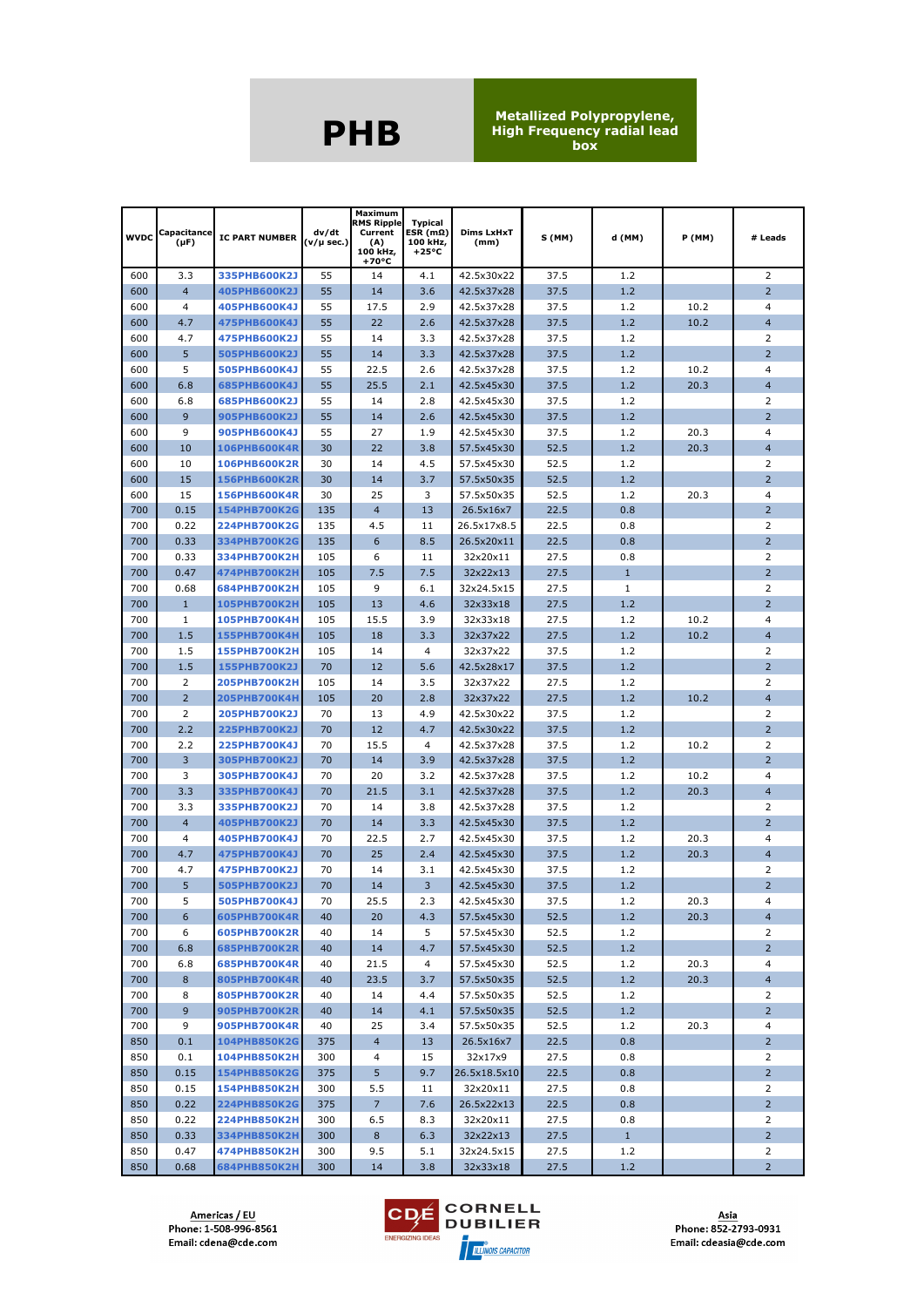| <b>WVDC</b> | Capacitance<br>$(\mu F)$ | <b>IC PART NUMBER</b>               | dv/dt<br>(v/µ sec.) | Maximum<br><b>RMS Ripple</b><br>Current<br>(A)<br>100 kHz,<br>+70°C | <b>Typical</b><br>ESR (mΩ)<br>100 kHz,<br>$+25^{\circ}C$ | Dims LxHxT<br>(mm)   | S (MM)       | d (MM)       | P (MM) | # Leads             |
|-------------|--------------------------|-------------------------------------|---------------------|---------------------------------------------------------------------|----------------------------------------------------------|----------------------|--------------|--------------|--------|---------------------|
| 600         | 3.3                      | 335PHB600K2J                        | 55                  | 14                                                                  | 4.1                                                      | 42.5x30x22           | 37.5         | 1.2          |        | 2                   |
| 600         | $\overline{4}$           | 405PHB600K2J                        | 55                  | 14                                                                  | 3.6                                                      | 42.5x37x28           | 37.5         | 1.2          |        | $\overline{2}$      |
| 600         | $\overline{4}$           | 405PHB600K4J                        | 55                  | 17.5                                                                | 2.9                                                      | 42.5x37x28           | 37.5         | 1.2          | 10.2   | $\overline{4}$      |
| 600         | 4.7                      | 475PHB600K4J                        | 55                  | 22                                                                  | 2.6                                                      | 42.5x37x28           | 37.5         | 1.2          | 10.2   | $\overline{4}$      |
| 600         | 4.7                      | 475PHB600K2J                        | 55                  | 14                                                                  | 3.3                                                      | 42.5x37x28           | 37.5         | 1.2          |        | 2                   |
| 600         | 5                        | 505PHB600K2J                        | 55                  | 14                                                                  | 3.3                                                      | 42.5x37x28           | 37.5         | 1.2          |        | $\overline{2}$      |
| 600         | 5                        | 505PHB600K4J                        | 55                  | 22.5                                                                | 2.6                                                      | 42.5x37x28           | 37.5         | 1.2          | 10.2   | $\overline{4}$      |
| 600         | 6.8                      | 685PHB600K4J                        | 55                  | 25.5                                                                | 2.1                                                      | 42.5x45x30           | 37.5         | 1.2          | 20.3   | $\overline{4}$      |
| 600         | 6.8                      | 685PHB600K2J                        | 55                  | 14                                                                  | 2.8                                                      | 42.5x45x30           | 37.5         | 1.2          |        | 2                   |
| 600         | 9                        | 905PHB600K2J                        | 55                  | 14                                                                  | 2.6                                                      | 42.5x45x30           | 37.5         | 1.2          |        | $\overline{2}$      |
| 600         | 9                        | 905PHB600K4J                        | 55                  | 27                                                                  | 1.9                                                      | 42.5x45x30           | 37.5         | 1.2          | 20.3   | 4                   |
| 600         | 10                       | <b>106PHB600K4R</b>                 | 30                  | 22                                                                  | 3.8                                                      | 57.5x45x30           | 52.5         | 1.2          | 20.3   | $\overline{4}$      |
| 600         | 10                       | 106PHB600K2R                        | 30                  | 14                                                                  | 4.5                                                      | 57.5x45x30           | 52.5         | 1.2          |        | 2                   |
| 600         | 15                       | <b>156PHB600K2R</b>                 | 30                  | 14                                                                  | 3.7                                                      | 57.5x50x35           | 52.5         | 1.2          |        | $\overline{2}$      |
| 600         | 15                       | 156PHB600K4R                        | 30                  | 25                                                                  | 3                                                        | 57.5x50x35           | 52.5         | 1.2          | 20.3   | 4                   |
| 700         | 0.15                     | 154PHB700K2G                        | 135                 | 4                                                                   | 13                                                       | 26.5x16x7            | 22.5         | 0.8          |        | 2                   |
| 700         | 0.22                     | 224PHB700K2G                        | 135                 | 4.5                                                                 | 11                                                       | 26.5x17x8.5          | 22.5         | 0.8          |        | 2                   |
| 700         | 0.33                     | 334PHB700K2G                        | 135                 | 6                                                                   | 8.5                                                      | 26.5x20x11           | 22.5         | 0.8          |        | $\overline{2}$      |
| 700         | 0.33                     | 334PHB700K2H                        | 105                 | 6                                                                   | 11                                                       | 32x20x11             | 27.5         | 0.8          |        | 2                   |
| 700         | 0.47                     | 474PHB700K2H                        | 105                 | 7.5                                                                 | 7.5                                                      | 32x22x13             | 27.5         | $\mathbf{1}$ |        | $\overline{2}$      |
| 700         | 0.68                     | 684PHB700K2H                        | 105                 | 9                                                                   | 6.1                                                      | 32x24.5x15           | 27.5         | $\mathbf{1}$ |        | 2                   |
| 700<br>700  | $\mathbf{1}$<br>1        | <b>105PHB700K2H</b>                 | 105<br>105          | 13<br>15.5                                                          | 4.6<br>3.9                                               | 32x33x18             | 27.5<br>27.5 | 1.2<br>1.2   | 10.2   | $\overline{2}$<br>4 |
| 700         | 1.5                      | 105PHB700K4H<br><b>155PHB700K4H</b> | 105                 | 18                                                                  | 3.3                                                      | 32x33x18<br>32x37x22 | 27.5         | 1.2          | 10.2   | $\overline{4}$      |
| 700         | 1.5                      | <b>155PHB700K2H</b>                 | 105                 | 14                                                                  | 4                                                        | 32x37x22             | 37.5         | 1.2          |        | 2                   |
| 700         | 1.5                      | 155PHB700K2J                        | 70                  | 12                                                                  | 5.6                                                      | 42.5x28x17           | 37.5         | 1.2          |        | $\overline{2}$      |
| 700         | $\overline{2}$           | <b>205PHB700K2H</b>                 | 105                 | 14                                                                  | 3.5                                                      | 32x37x22             | 27.5         | 1.2          |        | $\overline{2}$      |
| 700         | $\overline{2}$           | <b>205PHB700K4H</b>                 | 105                 | 20                                                                  | 2.8                                                      | 32x37x22             | 27.5         | 1.2          | 10.2   | $\overline{4}$      |
| 700         | 2                        | 205PHB700K2J                        | 70                  | 13                                                                  | 4.9                                                      | 42.5x30x22           | 37.5         | 1.2          |        | 2                   |
| 700         | 2.2                      | <b>225PHB700K2J</b>                 | 70                  | 12                                                                  | 4.7                                                      | 42.5x30x22           | 37.5         | 1.2          |        | $\overline{2}$      |
| 700         | 2.2                      | 225PHB700K4J                        | 70                  | 15.5                                                                | 4                                                        | 42.5x37x28           | 37.5         | 1.2          | 10.2   | 2                   |
| 700         | 3                        | 305PHB700K2J                        | 70                  | 14                                                                  | 3.9                                                      | 42.5x37x28           | 37.5         | 1.2          |        | $\overline{2}$      |
| 700         | 3                        | 305PHB700K4J                        | 70                  | 20                                                                  | 3.2                                                      | 42.5x37x28           | 37.5         | 1.2          | 10.2   | 4                   |
| 700         | 3.3                      | 335PHB700K4J                        | 70                  | 21.5                                                                | 3.1                                                      | 42.5x37x28           | 37.5         | 1.2          | 20.3   | $\overline{4}$      |
| 700         | 3.3                      | 335PHB700K2J                        | 70                  | 14                                                                  | 3.8                                                      | 42.5x37x28           | 37.5         | 1.2          |        | 2                   |
| 700         | $\overline{4}$           | 405PHB700K2J                        | 70                  | 14                                                                  | 3.3                                                      | 42.5x45x30           | 37.5         | 1.2          |        | $\overline{2}$      |
| 700         | 4                        | 405PHB700K4J                        | 70                  | 22.5                                                                | 2.7                                                      | 42.5x45x30           | 37.5         | 1.2          | 20.3   | 4                   |
| 700         | 4.7                      | 475PHB700K4J                        | 70                  | 25                                                                  | 2.4                                                      | 42.5x45x30           | 37.5         | 1.2          | 20.3   | $\overline{4}$      |
| 700         | 4.7                      | 475PHB700K2J                        | 70                  | 14                                                                  | 3.1                                                      | 42.5x45x30           | 37.5         | 1.2          |        | 2                   |
| 700         | 5                        | 505PHB700K2J                        | 70                  | 14                                                                  | 3                                                        | 42.5x45x30           | 37.5         | 1.2          |        | 2                   |
| 700         | 5                        | 505PHB700K4J                        | 70                  | 25.5                                                                | 2.3                                                      | 42.5x45x30           | 37.5         | 1.2          | 20.3   | $\overline{4}$      |
| 700         | 6                        | 605PHB700K4R                        | 40                  | 20                                                                  | 4.3                                                      | 57.5x45x30           | 52.5         | 1.2          | 20.3   | $\overline{4}$      |
| 700         | 6                        | 605PHB700K2R                        | 40                  | 14                                                                  | 5                                                        | 57.5x45x30           | 52.5         | 1.2          |        | 2                   |
| 700         | 6.8                      | <b>685PHB700K2R</b>                 | 40                  | 14                                                                  | 4.7                                                      | 57.5x45x30           | 52.5         | 1.2          |        | $2^{\circ}$         |
| 700         | 6.8                      | 685PHB700K4R                        | 40                  | 21.5                                                                | 4                                                        | 57.5x45x30           | 52.5         | 1.2          | 20.3   | $\overline{4}$      |
| 700         | 8                        | 805PHB700K4R                        | 40                  | 23.5                                                                | 3.7                                                      | 57.5x50x35           | 52.5         | 1.2          | 20.3   | $\overline{4}$      |
| 700         | 8                        | 805PHB700K2R                        | 40                  | 14                                                                  | 4.4                                                      | 57.5x50x35           | 52.5         | 1.2          |        | 2                   |
| 700         | 9 <sup>°</sup>           | <b>905PHB700K2R</b>                 | 40                  | 14                                                                  | 4.1                                                      | 57.5x50x35           | 52.5         | 1.2          |        | $2^{\circ}$         |
| 700         | 9                        | 905PHB700K4R                        | 40                  | 25                                                                  | 3.4                                                      | 57.5x50x35           | 52.5         | 1.2          | 20.3   | 4                   |
| 850         | 0.1                      | 104PHB850K2G                        | 375                 | $\overline{4}$                                                      | 13                                                       | 26.5x16x7            | 22.5         | 0.8          |        | $2^{\circ}$         |
| 850         | 0.1                      | 104PHB850K2H                        | 300                 | 4                                                                   | 15                                                       | 32x17x9              | 27.5         | 0.8          |        | 2                   |
| 850         | 0.15                     | 154PHB850K2G                        | 375                 | 5                                                                   | 9.7                                                      | 26.5x18.5x10         | 22.5         | 0.8          |        | $2^{\circ}$         |
| 850         | 0.15                     | <b>154PHB850K2H</b>                 | 300                 | 5.5                                                                 | 11                                                       | 32x20x11             | 27.5         | 0.8          |        | 2                   |
| 850         | 0.22                     | <b>224PHB850K2G</b>                 | 375                 | $\overline{7}$                                                      | 7.6                                                      | 26.5x22x13           | 22.5         | 0.8          |        | 2 <sup>2</sup>      |
| 850         | 0.22                     | <b>224PHB850K2H</b>                 | 300                 | 6.5                                                                 | 8.3                                                      | 32x20x11             | 27.5         | 0.8          |        | $\overline{2}$      |
| 850         | 0.33                     | 334PHB850K2H                        | 300                 | 8                                                                   | 6.3                                                      | 32x22x13             | 27.5         | $\mathbf{1}$ |        | $2^{\circ}$         |
| 850         | 0.47                     | 474PHB850K2H                        | 300                 | 9.5                                                                 | 5.1                                                      | 32x24.5x15           | 27.5         | 1.2          |        | 2                   |
| 850         | 0.68                     | <b>684PHB850K2H</b>                 | 300                 | 14                                                                  | 3.8                                                      | 32x33x18             | 27.5         | 1.2          |        | $\overline{2}$      |

Americas / EU<br>Phone: 1-508-996-8561 Email: cdena@cde.com

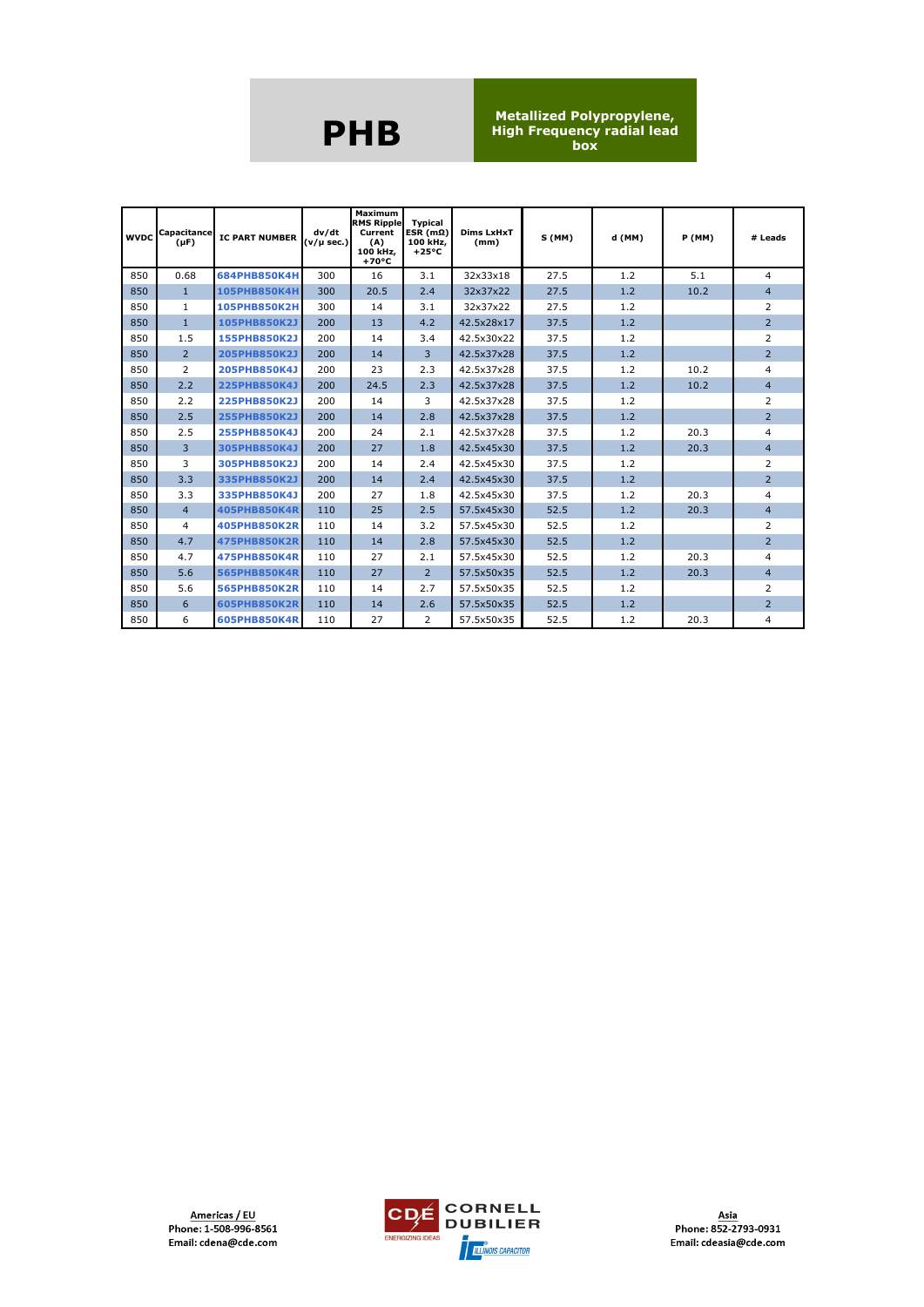|     | <b>WVDC</b> Capacitance<br>$(\mu F)$ | <b>IC PART NUMBER</b> | dv/dt<br>$(v/\mu \sec.)$ | Maximum<br><b>RMS Ripple</b><br>Current<br>(A)<br>100 kHz,<br>$+70^{\circ}$ C | <b>Typical</b><br>ESR $(m\Omega)$<br>100 kHz.<br>$+25^{\circ}C$ | Dims LxHxT<br>(mm) | S(MM) | d (MM) | <b>P</b> (MM) | # Leads        |
|-----|--------------------------------------|-----------------------|--------------------------|-------------------------------------------------------------------------------|-----------------------------------------------------------------|--------------------|-------|--------|---------------|----------------|
| 850 | 0.68                                 | 684PHB850K4H          | 300                      | 16                                                                            | 3.1                                                             | 32x33x18           | 27.5  | 1.2    | 5.1           | 4              |
| 850 | $\mathbf{1}$                         | <b>105PHB850K4H</b>   | 300                      | 20.5                                                                          | 2.4                                                             | 32x37x22           | 27.5  | 1.2    | 10.2          | $\overline{4}$ |
| 850 | $\mathbf{1}$                         | <b>105PHB850K2H</b>   | 300                      | 14                                                                            | 3.1                                                             | 32x37x22           | 27.5  | 1.2    |               | $\overline{2}$ |
| 850 | $\mathbf{1}$                         | 105PHB850K2J          | 200                      | 13                                                                            | 4.2                                                             | 42.5x28x17         | 37.5  | 1.2    |               | $\overline{2}$ |
| 850 | 1.5                                  | 155PHB850K2J          | 200                      | 14                                                                            | 3.4                                                             | 42.5x30x22         | 37.5  | 1.2    |               | 2              |
| 850 | $\overline{2}$                       | <b>205PHB850K2J</b>   | 200                      | 14                                                                            | 3                                                               | 42.5x37x28         | 37.5  | 1.2    |               | $\overline{2}$ |
| 850 | 2                                    | 205PHB850K4J          | 200                      | 23                                                                            | 2.3                                                             | 42.5x37x28         | 37.5  | 1.2    | 10.2          | 4              |
| 850 | 2.2                                  | <b>225PHB850K4J</b>   | 200                      | 24.5                                                                          | 2.3                                                             | 42.5x37x28         | 37.5  | 1.2    | 10.2          | $\overline{4}$ |
| 850 | 2.2                                  | <b>225PHB850K2J</b>   | 200                      | 14                                                                            | 3                                                               | 42.5x37x28         | 37.5  | 1.2    |               | $\overline{2}$ |
| 850 | 2.5                                  | <b>255PHB850K2J</b>   | 200                      | 14                                                                            | 2.8                                                             | 42.5x37x28         | 37.5  | 1.2    |               | $\overline{2}$ |
| 850 | 2.5                                  | 255PHB850K4J          | 200                      | 24                                                                            | 2.1                                                             | 42.5x37x28         | 37.5  | 1.2    | 20.3          | 4              |
| 850 | 3                                    | 305PHB850K4J          | 200                      | 27                                                                            | 1.8                                                             | 42.5x45x30         | 37.5  | 1.2    | 20.3          | $\overline{4}$ |
| 850 | 3                                    | 305PHB850K2J          | 200                      | 14                                                                            | 2.4                                                             | 42.5x45x30         | 37.5  | 1.2    |               | $\overline{2}$ |
| 850 | 3.3                                  | 335PHB850K2J          | 200                      | 14                                                                            | 2.4                                                             | 42.5x45x30         | 37.5  | 1.2    |               | $\overline{2}$ |
| 850 | 3.3                                  | 335PHB850K4J          | 200                      | 27                                                                            | 1.8                                                             | 42.5x45x30         | 37.5  | 1.2    | 20.3          | 4              |
| 850 | $\overline{4}$                       | <b>405PHB850K4R</b>   | 110                      | 25                                                                            | 2.5                                                             | 57.5x45x30         | 52.5  | 1.2    | 20.3          | $\overline{4}$ |
| 850 | 4                                    | <b>405PHB850K2R</b>   | 110                      | 14                                                                            | 3.2                                                             | 57.5x45x30         | 52.5  | 1.2    |               | $\overline{2}$ |
| 850 | 4.7                                  | <b>475PHB850K2R</b>   | 110                      | 14                                                                            | 2.8                                                             | 57.5x45x30         | 52.5  | 1.2    |               | $\overline{2}$ |
| 850 | 4.7                                  | 475PHB850K4R          | 110                      | 27                                                                            | 2.1                                                             | 57.5x45x30         | 52.5  | 1.2    | 20.3          | 4              |
| 850 | 5.6                                  | <b>565PHB850K4R</b>   | 110                      | 27                                                                            | $\overline{2}$                                                  | 57.5x50x35         | 52.5  | 1.2    | 20.3          | $\overline{4}$ |
| 850 | 5.6                                  | <b>565PHB850K2R</b>   | 110                      | 14                                                                            | 2.7                                                             | 57.5x50x35         | 52.5  | 1.2    |               | $\overline{2}$ |
| 850 | 6                                    | 605PHB850K2R          | 110                      | 14                                                                            | 2.6                                                             | 57.5x50x35         | 52.5  | 1.2    |               | $\overline{2}$ |
| 850 | 6                                    | 605PHB850K4R          | 110                      | 27                                                                            | $\overline{2}$                                                  | 57.5x50x35         | 52.5  | 1.2    | 20.3          | 4              |